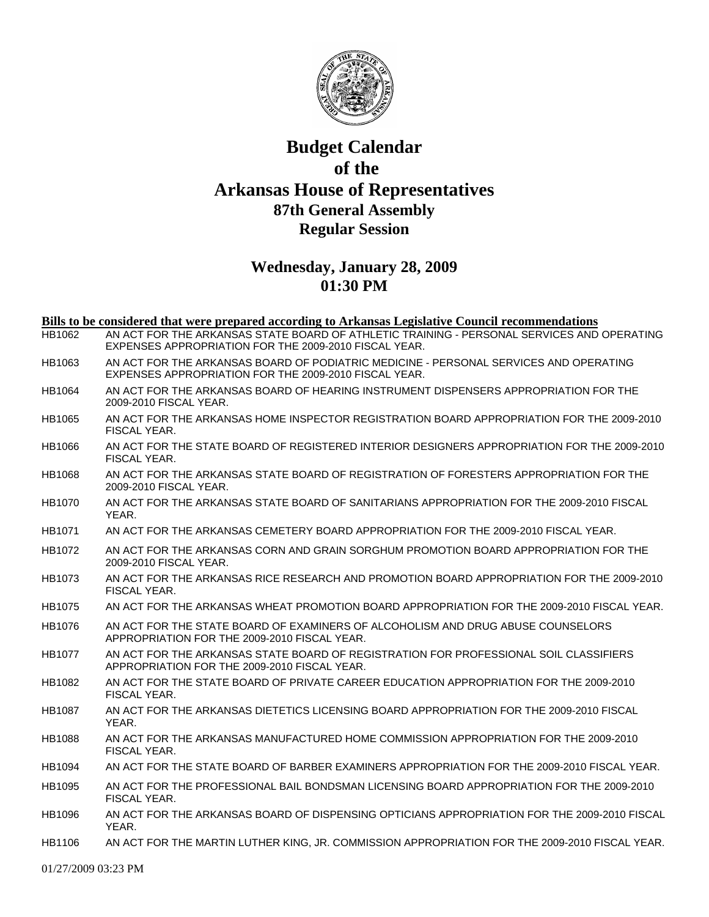

## **Budget Calendar of the Arkansas House of Representatives 87th General Assembly Regular Session**

## **Wednesday, January 28, 2009 01:30 PM**

| Bills to be considered that were prepared according to Arkansas Legislative Council recommendations |                                                                                                                                                     |
|-----------------------------------------------------------------------------------------------------|-----------------------------------------------------------------------------------------------------------------------------------------------------|
| HB1062                                                                                              | AN ACT FOR THE ARKANSAS STATE BOARD OF ATHLETIC TRAINING - PERSONAL SERVICES AND OPERATING<br>EXPENSES APPROPRIATION FOR THE 2009-2010 FISCAL YEAR. |
| HB1063                                                                                              | AN ACT FOR THE ARKANSAS BOARD OF PODIATRIC MEDICINE - PERSONAL SERVICES AND OPERATING<br>EXPENSES APPROPRIATION FOR THE 2009-2010 FISCAL YEAR.      |
| HB1064                                                                                              | AN ACT FOR THE ARKANSAS BOARD OF HEARING INSTRUMENT DISPENSERS APPROPRIATION FOR THE<br>2009-2010 FISCAL YEAR.                                      |
| HB1065                                                                                              | AN ACT FOR THE ARKANSAS HOME INSPECTOR REGISTRATION BOARD APPROPRIATION FOR THE 2009-2010<br>FISCAL YEAR.                                           |
| <b>HB1066</b>                                                                                       | AN ACT FOR THE STATE BOARD OF REGISTERED INTERIOR DESIGNERS APPROPRIATION FOR THE 2009-2010<br>FISCAL YEAR.                                         |
| HB1068                                                                                              | AN ACT FOR THE ARKANSAS STATE BOARD OF REGISTRATION OF FORESTERS APPROPRIATION FOR THE<br>2009-2010 FISCAL YEAR.                                    |
| <b>HB1070</b>                                                                                       | AN ACT FOR THE ARKANSAS STATE BOARD OF SANITARIANS APPROPRIATION FOR THE 2009-2010 FISCAL<br>YEAR.                                                  |
| HB1071                                                                                              | AN ACT FOR THE ARKANSAS CEMETERY BOARD APPROPRIATION FOR THE 2009-2010 FISCAL YEAR.                                                                 |
| HB1072                                                                                              | AN ACT FOR THE ARKANSAS CORN AND GRAIN SORGHUM PROMOTION BOARD APPROPRIATION FOR THE<br>2009-2010 FISCAL YEAR.                                      |
| <b>HB1073</b>                                                                                       | AN ACT FOR THE ARKANSAS RICE RESEARCH AND PROMOTION BOARD APPROPRIATION FOR THE 2009-2010<br>FISCAL YEAR.                                           |
| <b>HB1075</b>                                                                                       | AN ACT FOR THE ARKANSAS WHEAT PROMOTION BOARD APPROPRIATION FOR THE 2009-2010 FISCAL YEAR.                                                          |
| <b>HB1076</b>                                                                                       | AN ACT FOR THE STATE BOARD OF EXAMINERS OF ALCOHOLISM AND DRUG ABUSE COUNSELORS<br>APPROPRIATION FOR THE 2009-2010 FISCAL YEAR.                     |
| HB1077                                                                                              | AN ACT FOR THE ARKANSAS STATE BOARD OF REGISTRATION FOR PROFESSIONAL SOIL CLASSIFIERS<br>APPROPRIATION FOR THE 2009-2010 FISCAL YEAR.               |
| HB1082                                                                                              | AN ACT FOR THE STATE BOARD OF PRIVATE CAREER EDUCATION APPROPRIATION FOR THE 2009-2010<br>FISCAL YEAR.                                              |
| <b>HB1087</b>                                                                                       | AN ACT FOR THE ARKANSAS DIETETICS LICENSING BOARD APPROPRIATION FOR THE 2009-2010 FISCAL<br>YEAR.                                                   |
| <b>HB1088</b>                                                                                       | AN ACT FOR THE ARKANSAS MANUFACTURED HOME COMMISSION APPROPRIATION FOR THE 2009-2010<br>FISCAL YEAR.                                                |
| <b>HB1094</b>                                                                                       | AN ACT FOR THE STATE BOARD OF BARBER EXAMINERS APPROPRIATION FOR THE 2009-2010 FISCAL YEAR.                                                         |
| HB1095                                                                                              | AN ACT FOR THE PROFESSIONAL BAIL BONDSMAN LICENSING BOARD APPROPRIATION FOR THE 2009-2010<br>FISCAL YEAR.                                           |
| HB1096                                                                                              | AN ACT FOR THE ARKANSAS BOARD OF DISPENSING OPTICIANS APPROPRIATION FOR THE 2009-2010 FISCAL<br>YEAR.                                               |
| HB1106                                                                                              | AN ACT FOR THE MARTIN LUTHER KING, JR. COMMISSION APPROPRIATION FOR THE 2009-2010 FISCAL YEAR.                                                      |

01/27/2009 03:23 PM